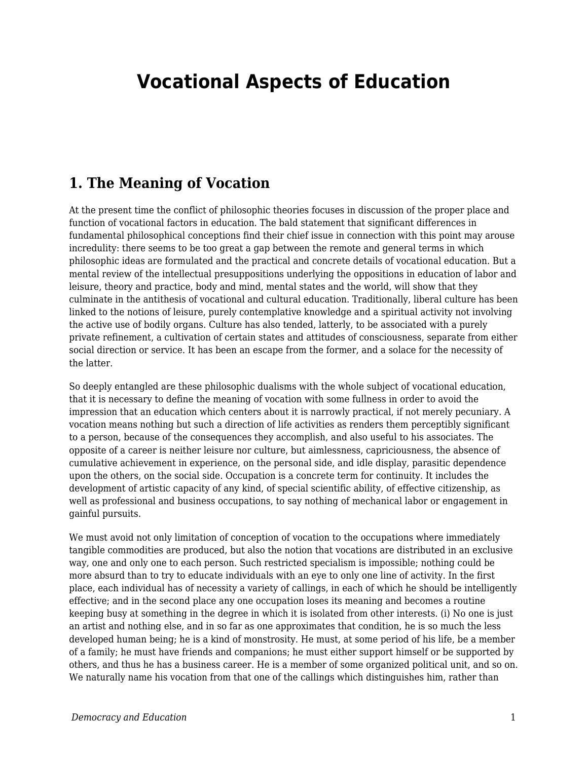# **Vocational Aspects of Education**

#### **1. The Meaning of Vocation**

At the present time the conflict of philosophic theories focuses in discussion of the proper place and function of vocational factors in education. The bald statement that significant differences in fundamental philosophical conceptions find their chief issue in connection with this point may arouse incredulity: there seems to be too great a gap between the remote and general terms in which philosophic ideas are formulated and the practical and concrete details of vocational education. But a mental review of the intellectual presuppositions underlying the oppositions in education of labor and leisure, theory and practice, body and mind, mental states and the world, will show that they culminate in the antithesis of vocational and cultural education. Traditionally, liberal culture has been linked to the notions of leisure, purely contemplative knowledge and a spiritual activity not involving the active use of bodily organs. Culture has also tended, latterly, to be associated with a purely private refinement, a cultivation of certain states and attitudes of consciousness, separate from either social direction or service. It has been an escape from the former, and a solace for the necessity of the latter.

So deeply entangled are these philosophic dualisms with the whole subject of vocational education, that it is necessary to define the meaning of vocation with some fullness in order to avoid the impression that an education which centers about it is narrowly practical, if not merely pecuniary. A vocation means nothing but such a direction of life activities as renders them perceptibly significant to a person, because of the consequences they accomplish, and also useful to his associates. The opposite of a career is neither leisure nor culture, but aimlessness, capriciousness, the absence of cumulative achievement in experience, on the personal side, and idle display, parasitic dependence upon the others, on the social side. Occupation is a concrete term for continuity. It includes the development of artistic capacity of any kind, of special scientific ability, of effective citizenship, as well as professional and business occupations, to say nothing of mechanical labor or engagement in gainful pursuits.

We must avoid not only limitation of conception of vocation to the occupations where immediately tangible commodities are produced, but also the notion that vocations are distributed in an exclusive way, one and only one to each person. Such restricted specialism is impossible; nothing could be more absurd than to try to educate individuals with an eye to only one line of activity. In the first place, each individual has of necessity a variety of callings, in each of which he should be intelligently effective; and in the second place any one occupation loses its meaning and becomes a routine keeping busy at something in the degree in which it is isolated from other interests. (i) No one is just an artist and nothing else, and in so far as one approximates that condition, he is so much the less developed human being; he is a kind of monstrosity. He must, at some period of his life, be a member of a family; he must have friends and companions; he must either support himself or be supported by others, and thus he has a business career. He is a member of some organized political unit, and so on. We naturally name his vocation from that one of the callings which distinguishes him, rather than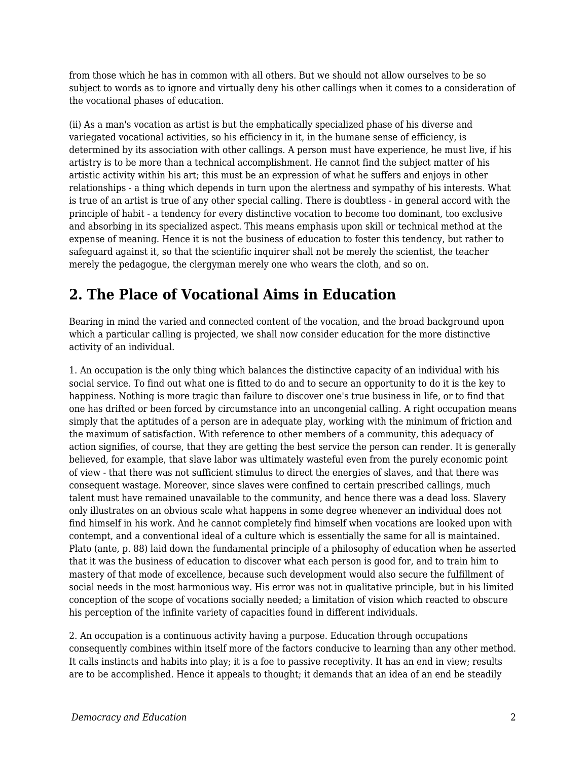from those which he has in common with all others. But we should not allow ourselves to be so subject to words as to ignore and virtually deny his other callings when it comes to a consideration of the vocational phases of education.

(ii) As a man's vocation as artist is but the emphatically specialized phase of his diverse and variegated vocational activities, so his efficiency in it, in the humane sense of efficiency, is determined by its association with other callings. A person must have experience, he must live, if his artistry is to be more than a technical accomplishment. He cannot find the subject matter of his artistic activity within his art; this must be an expression of what he suffers and enjoys in other relationships - a thing which depends in turn upon the alertness and sympathy of his interests. What is true of an artist is true of any other special calling. There is doubtless - in general accord with the principle of habit - a tendency for every distinctive vocation to become too dominant, too exclusive and absorbing in its specialized aspect. This means emphasis upon skill or technical method at the expense of meaning. Hence it is not the business of education to foster this tendency, but rather to safeguard against it, so that the scientific inquirer shall not be merely the scientist, the teacher merely the pedagogue, the clergyman merely one who wears the cloth, and so on.

## **2. The Place of Vocational Aims in Education**

Bearing in mind the varied and connected content of the vocation, and the broad background upon which a particular calling is projected, we shall now consider education for the more distinctive activity of an individual.

1. An occupation is the only thing which balances the distinctive capacity of an individual with his social service. To find out what one is fitted to do and to secure an opportunity to do it is the key to happiness. Nothing is more tragic than failure to discover one's true business in life, or to find that one has drifted or been forced by circumstance into an uncongenial calling. A right occupation means simply that the aptitudes of a person are in adequate play, working with the minimum of friction and the maximum of satisfaction. With reference to other members of a community, this adequacy of action signifies, of course, that they are getting the best service the person can render. It is generally believed, for example, that slave labor was ultimately wasteful even from the purely economic point of view - that there was not sufficient stimulus to direct the energies of slaves, and that there was consequent wastage. Moreover, since slaves were confined to certain prescribed callings, much talent must have remained unavailable to the community, and hence there was a dead loss. Slavery only illustrates on an obvious scale what happens in some degree whenever an individual does not find himself in his work. And he cannot completely find himself when vocations are looked upon with contempt, and a conventional ideal of a culture which is essentially the same for all is maintained. Plato (ante, p. 88) laid down the fundamental principle of a philosophy of education when he asserted that it was the business of education to discover what each person is good for, and to train him to mastery of that mode of excellence, because such development would also secure the fulfillment of social needs in the most harmonious way. His error was not in qualitative principle, but in his limited conception of the scope of vocations socially needed; a limitation of vision which reacted to obscure his perception of the infinite variety of capacities found in different individuals.

2. An occupation is a continuous activity having a purpose. Education through occupations consequently combines within itself more of the factors conducive to learning than any other method. It calls instincts and habits into play; it is a foe to passive receptivity. It has an end in view; results are to be accomplished. Hence it appeals to thought; it demands that an idea of an end be steadily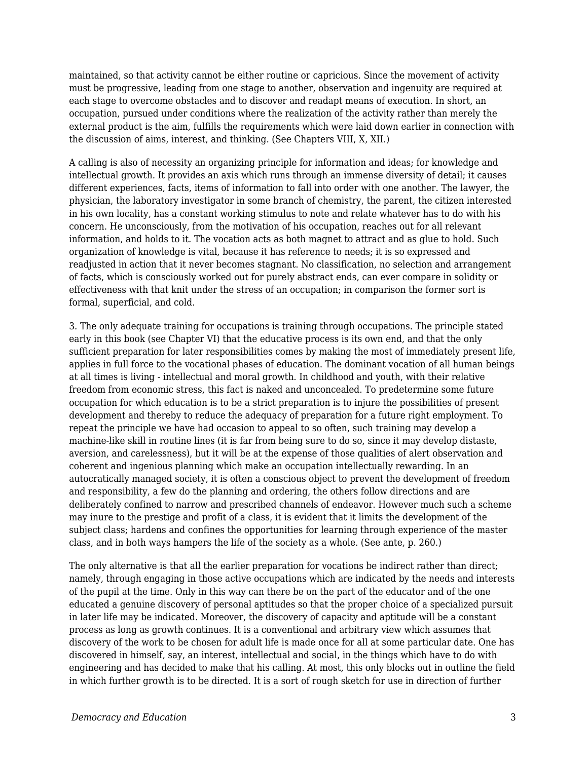maintained, so that activity cannot be either routine or capricious. Since the movement of activity must be progressive, leading from one stage to another, observation and ingenuity are required at each stage to overcome obstacles and to discover and readapt means of execution. In short, an occupation, pursued under conditions where the realization of the activity rather than merely the external product is the aim, fulfills the requirements which were laid down earlier in connection with the discussion of aims, interest, and thinking. (See Chapters VIII, X, XII.)

A calling is also of necessity an organizing principle for information and ideas; for knowledge and intellectual growth. It provides an axis which runs through an immense diversity of detail; it causes different experiences, facts, items of information to fall into order with one another. The lawyer, the physician, the laboratory investigator in some branch of chemistry, the parent, the citizen interested in his own locality, has a constant working stimulus to note and relate whatever has to do with his concern. He unconsciously, from the motivation of his occupation, reaches out for all relevant information, and holds to it. The vocation acts as both magnet to attract and as glue to hold. Such organization of knowledge is vital, because it has reference to needs; it is so expressed and readjusted in action that it never becomes stagnant. No classification, no selection and arrangement of facts, which is consciously worked out for purely abstract ends, can ever compare in solidity or effectiveness with that knit under the stress of an occupation; in comparison the former sort is formal, superficial, and cold.

3. The only adequate training for occupations is training through occupations. The principle stated early in this book (see Chapter VI) that the educative process is its own end, and that the only sufficient preparation for later responsibilities comes by making the most of immediately present life, applies in full force to the vocational phases of education. The dominant vocation of all human beings at all times is living - intellectual and moral growth. In childhood and youth, with their relative freedom from economic stress, this fact is naked and unconcealed. To predetermine some future occupation for which education is to be a strict preparation is to injure the possibilities of present development and thereby to reduce the adequacy of preparation for a future right employment. To repeat the principle we have had occasion to appeal to so often, such training may develop a machine-like skill in routine lines (it is far from being sure to do so, since it may develop distaste, aversion, and carelessness), but it will be at the expense of those qualities of alert observation and coherent and ingenious planning which make an occupation intellectually rewarding. In an autocratically managed society, it is often a conscious object to prevent the development of freedom and responsibility, a few do the planning and ordering, the others follow directions and are deliberately confined to narrow and prescribed channels of endeavor. However much such a scheme may inure to the prestige and profit of a class, it is evident that it limits the development of the subject class; hardens and confines the opportunities for learning through experience of the master class, and in both ways hampers the life of the society as a whole. (See ante, p. 260.)

The only alternative is that all the earlier preparation for vocations be indirect rather than direct; namely, through engaging in those active occupations which are indicated by the needs and interests of the pupil at the time. Only in this way can there be on the part of the educator and of the one educated a genuine discovery of personal aptitudes so that the proper choice of a specialized pursuit in later life may be indicated. Moreover, the discovery of capacity and aptitude will be a constant process as long as growth continues. It is a conventional and arbitrary view which assumes that discovery of the work to be chosen for adult life is made once for all at some particular date. One has discovered in himself, say, an interest, intellectual and social, in the things which have to do with engineering and has decided to make that his calling. At most, this only blocks out in outline the field in which further growth is to be directed. It is a sort of rough sketch for use in direction of further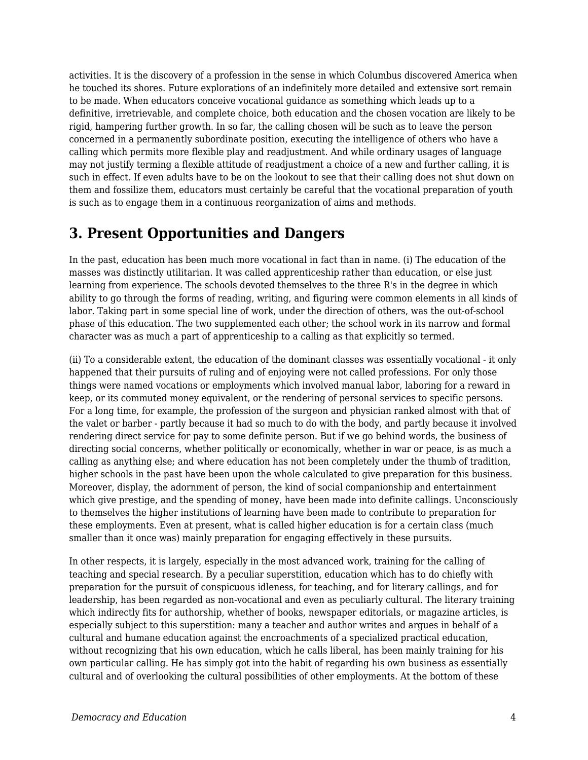activities. It is the discovery of a profession in the sense in which Columbus discovered America when he touched its shores. Future explorations of an indefinitely more detailed and extensive sort remain to be made. When educators conceive vocational guidance as something which leads up to a definitive, irretrievable, and complete choice, both education and the chosen vocation are likely to be rigid, hampering further growth. In so far, the calling chosen will be such as to leave the person concerned in a permanently subordinate position, executing the intelligence of others who have a calling which permits more flexible play and readjustment. And while ordinary usages of language may not justify terming a flexible attitude of readjustment a choice of a new and further calling, it is such in effect. If even adults have to be on the lookout to see that their calling does not shut down on them and fossilize them, educators must certainly be careful that the vocational preparation of youth is such as to engage them in a continuous reorganization of aims and methods.

## **3. Present Opportunities and Dangers**

In the past, education has been much more vocational in fact than in name. (i) The education of the masses was distinctly utilitarian. It was called apprenticeship rather than education, or else just learning from experience. The schools devoted themselves to the three R's in the degree in which ability to go through the forms of reading, writing, and figuring were common elements in all kinds of labor. Taking part in some special line of work, under the direction of others, was the out-of-school phase of this education. The two supplemented each other; the school work in its narrow and formal character was as much a part of apprenticeship to a calling as that explicitly so termed.

(ii) To a considerable extent, the education of the dominant classes was essentially vocational - it only happened that their pursuits of ruling and of enjoying were not called professions. For only those things were named vocations or employments which involved manual labor, laboring for a reward in keep, or its commuted money equivalent, or the rendering of personal services to specific persons. For a long time, for example, the profession of the surgeon and physician ranked almost with that of the valet or barber - partly because it had so much to do with the body, and partly because it involved rendering direct service for pay to some definite person. But if we go behind words, the business of directing social concerns, whether politically or economically, whether in war or peace, is as much a calling as anything else; and where education has not been completely under the thumb of tradition, higher schools in the past have been upon the whole calculated to give preparation for this business. Moreover, display, the adornment of person, the kind of social companionship and entertainment which give prestige, and the spending of money, have been made into definite callings. Unconsciously to themselves the higher institutions of learning have been made to contribute to preparation for these employments. Even at present, what is called higher education is for a certain class (much smaller than it once was) mainly preparation for engaging effectively in these pursuits.

In other respects, it is largely, especially in the most advanced work, training for the calling of teaching and special research. By a peculiar superstition, education which has to do chiefly with preparation for the pursuit of conspicuous idleness, for teaching, and for literary callings, and for leadership, has been regarded as non-vocational and even as peculiarly cultural. The literary training which indirectly fits for authorship, whether of books, newspaper editorials, or magazine articles, is especially subject to this superstition: many a teacher and author writes and argues in behalf of a cultural and humane education against the encroachments of a specialized practical education, without recognizing that his own education, which he calls liberal, has been mainly training for his own particular calling. He has simply got into the habit of regarding his own business as essentially cultural and of overlooking the cultural possibilities of other employments. At the bottom of these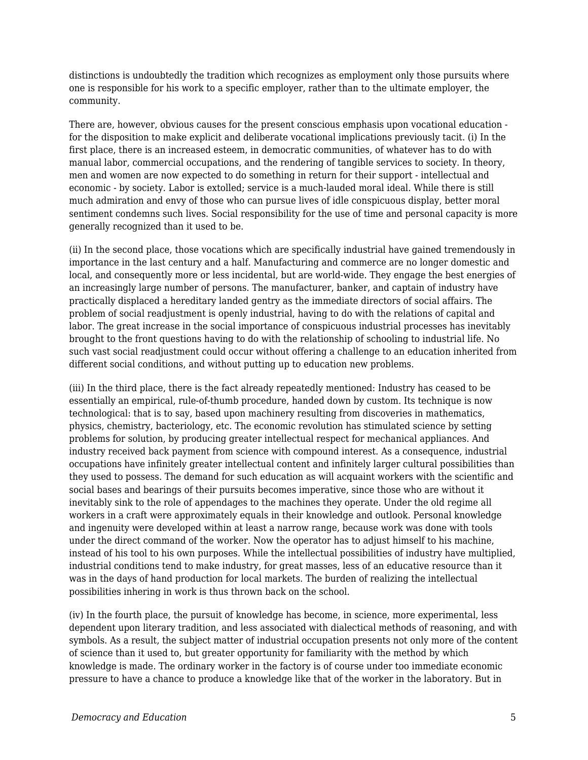distinctions is undoubtedly the tradition which recognizes as employment only those pursuits where one is responsible for his work to a specific employer, rather than to the ultimate employer, the community.

There are, however, obvious causes for the present conscious emphasis upon vocational education for the disposition to make explicit and deliberate vocational implications previously tacit. (i) In the first place, there is an increased esteem, in democratic communities, of whatever has to do with manual labor, commercial occupations, and the rendering of tangible services to society. In theory, men and women are now expected to do something in return for their support - intellectual and economic - by society. Labor is extolled; service is a much-lauded moral ideal. While there is still much admiration and envy of those who can pursue lives of idle conspicuous display, better moral sentiment condemns such lives. Social responsibility for the use of time and personal capacity is more generally recognized than it used to be.

(ii) In the second place, those vocations which are specifically industrial have gained tremendously in importance in the last century and a half. Manufacturing and commerce are no longer domestic and local, and consequently more or less incidental, but are world-wide. They engage the best energies of an increasingly large number of persons. The manufacturer, banker, and captain of industry have practically displaced a hereditary landed gentry as the immediate directors of social affairs. The problem of social readjustment is openly industrial, having to do with the relations of capital and labor. The great increase in the social importance of conspicuous industrial processes has inevitably brought to the front questions having to do with the relationship of schooling to industrial life. No such vast social readjustment could occur without offering a challenge to an education inherited from different social conditions, and without putting up to education new problems.

(iii) In the third place, there is the fact already repeatedly mentioned: Industry has ceased to be essentially an empirical, rule-of-thumb procedure, handed down by custom. Its technique is now technological: that is to say, based upon machinery resulting from discoveries in mathematics, physics, chemistry, bacteriology, etc. The economic revolution has stimulated science by setting problems for solution, by producing greater intellectual respect for mechanical appliances. And industry received back payment from science with compound interest. As a consequence, industrial occupations have infinitely greater intellectual content and infinitely larger cultural possibilities than they used to possess. The demand for such education as will acquaint workers with the scientific and social bases and bearings of their pursuits becomes imperative, since those who are without it inevitably sink to the role of appendages to the machines they operate. Under the old regime all workers in a craft were approximately equals in their knowledge and outlook. Personal knowledge and ingenuity were developed within at least a narrow range, because work was done with tools under the direct command of the worker. Now the operator has to adjust himself to his machine, instead of his tool to his own purposes. While the intellectual possibilities of industry have multiplied, industrial conditions tend to make industry, for great masses, less of an educative resource than it was in the days of hand production for local markets. The burden of realizing the intellectual possibilities inhering in work is thus thrown back on the school.

(iv) In the fourth place, the pursuit of knowledge has become, in science, more experimental, less dependent upon literary tradition, and less associated with dialectical methods of reasoning, and with symbols. As a result, the subject matter of industrial occupation presents not only more of the content of science than it used to, but greater opportunity for familiarity with the method by which knowledge is made. The ordinary worker in the factory is of course under too immediate economic pressure to have a chance to produce a knowledge like that of the worker in the laboratory. But in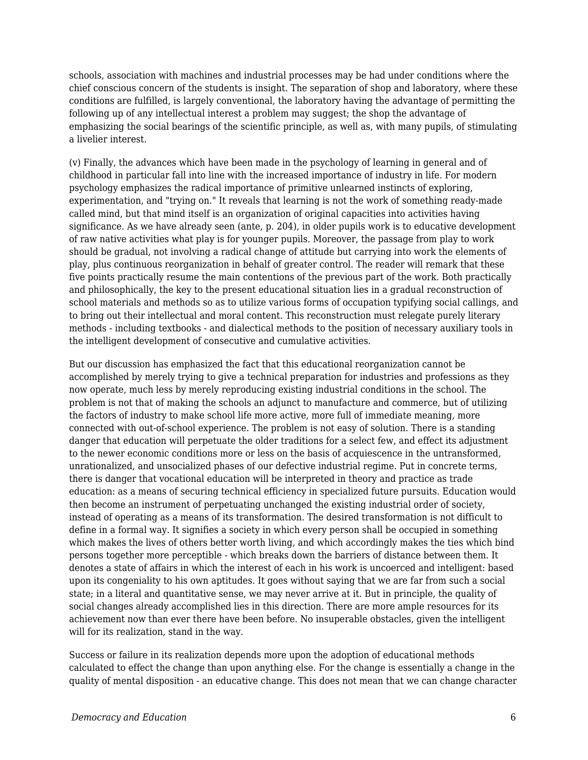schools, association with machines and industrial processes may be had under conditions where the chief conscious concern of the students is insight. The separation of shop and laboratory, where these conditions are fulfilled, is largely conventional, the laboratory having the advantage of permitting the following up of any intellectual interest a problem may suggest; the shop the advantage of emphasizing the social bearings of the scientific principle, as well as, with many pupils, of stimulating a livelier interest.

(v) Finally, the advances which have been made in the psychology of learning in general and of childhood in particular fall into line with the increased importance of industry in life. For modern psychology emphasizes the radical importance of primitive unlearned instincts of exploring, experimentation, and "trying on." It reveals that learning is not the work of something ready-made called mind, but that mind itself is an organization of original capacities into activities having significance. As we have already seen (ante, p. 204), in older pupils work is to educative development of raw native activities what play is for younger pupils. Moreover, the passage from play to work should be gradual, not involving a radical change of attitude but carrying into work the elements of play, plus continuous reorganization in behalf of greater control. The reader will remark that these five points practically resume the main contentions of the previous part of the work. Both practically and philosophically, the key to the present educational situation lies in a gradual reconstruction of school materials and methods so as to utilize various forms of occupation typifying social callings, and to bring out their intellectual and moral content. This reconstruction must relegate purely literary methods - including textbooks - and dialectical methods to the position of necessary auxiliary tools in the intelligent development of consecutive and cumulative activities.

But our discussion has emphasized the fact that this educational reorganization cannot be accomplished by merely trying to give a technical preparation for industries and professions as they now operate, much less by merely reproducing existing industrial conditions in the school. The problem is not that of making the schools an adjunct to manufacture and commerce, but of utilizing the factors of industry to make school life more active, more full of immediate meaning, more connected with out-of-school experience. The problem is not easy of solution. There is a standing danger that education will perpetuate the older traditions for a select few, and effect its adjustment to the newer economic conditions more or less on the basis of acquiescence in the untransformed, unrationalized, and unsocialized phases of our defective industrial regime. Put in concrete terms, there is danger that vocational education will be interpreted in theory and practice as trade education: as a means of securing technical efficiency in specialized future pursuits. Education would then become an instrument of perpetuating unchanged the existing industrial order of society, instead of operating as a means of its transformation. The desired transformation is not difficult to define in a formal way. It signifies a society in which every person shall be occupied in something which makes the lives of others better worth living, and which accordingly makes the ties which bind persons together more perceptible - which breaks down the barriers of distance between them. It denotes a state of affairs in which the interest of each in his work is uncoerced and intelligent: based upon its congeniality to his own aptitudes. It goes without saying that we are far from such a social state; in a literal and quantitative sense, we may never arrive at it. But in principle, the quality of social changes already accomplished lies in this direction. There are more ample resources for its achievement now than ever there have been before. No insuperable obstacles, given the intelligent will for its realization, stand in the way.

Success or failure in its realization depends more upon the adoption of educational methods calculated to effect the change than upon anything else. For the change is essentially a change in the quality of mental disposition - an educative change. This does not mean that we can change character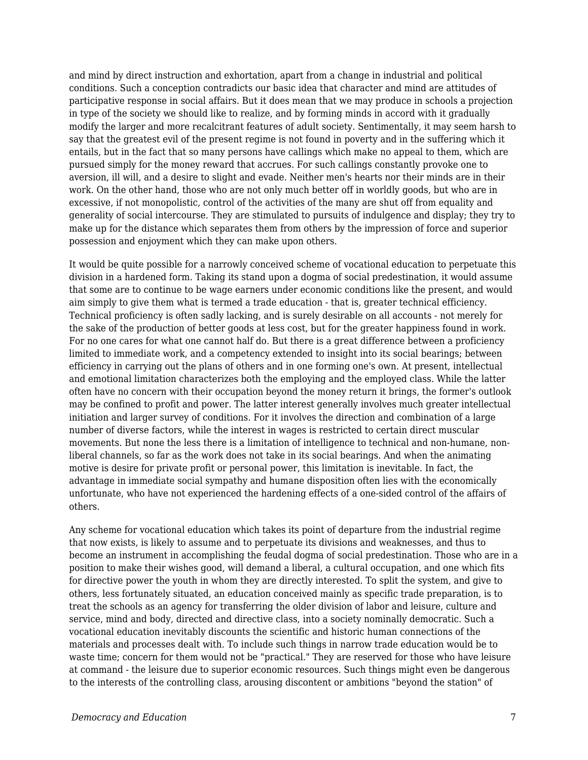and mind by direct instruction and exhortation, apart from a change in industrial and political conditions. Such a conception contradicts our basic idea that character and mind are attitudes of participative response in social affairs. But it does mean that we may produce in schools a projection in type of the society we should like to realize, and by forming minds in accord with it gradually modify the larger and more recalcitrant features of adult society. Sentimentally, it may seem harsh to say that the greatest evil of the present regime is not found in poverty and in the suffering which it entails, but in the fact that so many persons have callings which make no appeal to them, which are pursued simply for the money reward that accrues. For such callings constantly provoke one to aversion, ill will, and a desire to slight and evade. Neither men's hearts nor their minds are in their work. On the other hand, those who are not only much better off in worldly goods, but who are in excessive, if not monopolistic, control of the activities of the many are shut off from equality and generality of social intercourse. They are stimulated to pursuits of indulgence and display; they try to make up for the distance which separates them from others by the impression of force and superior possession and enjoyment which they can make upon others.

It would be quite possible for a narrowly conceived scheme of vocational education to perpetuate this division in a hardened form. Taking its stand upon a dogma of social predestination, it would assume that some are to continue to be wage earners under economic conditions like the present, and would aim simply to give them what is termed a trade education - that is, greater technical efficiency. Technical proficiency is often sadly lacking, and is surely desirable on all accounts - not merely for the sake of the production of better goods at less cost, but for the greater happiness found in work. For no one cares for what one cannot half do. But there is a great difference between a proficiency limited to immediate work, and a competency extended to insight into its social bearings; between efficiency in carrying out the plans of others and in one forming one's own. At present, intellectual and emotional limitation characterizes both the employing and the employed class. While the latter often have no concern with their occupation beyond the money return it brings, the former's outlook may be confined to profit and power. The latter interest generally involves much greater intellectual initiation and larger survey of conditions. For it involves the direction and combination of a large number of diverse factors, while the interest in wages is restricted to certain direct muscular movements. But none the less there is a limitation of intelligence to technical and non-humane, nonliberal channels, so far as the work does not take in its social bearings. And when the animating motive is desire for private profit or personal power, this limitation is inevitable. In fact, the advantage in immediate social sympathy and humane disposition often lies with the economically unfortunate, who have not experienced the hardening effects of a one-sided control of the affairs of others.

Any scheme for vocational education which takes its point of departure from the industrial regime that now exists, is likely to assume and to perpetuate its divisions and weaknesses, and thus to become an instrument in accomplishing the feudal dogma of social predestination. Those who are in a position to make their wishes good, will demand a liberal, a cultural occupation, and one which fits for directive power the youth in whom they are directly interested. To split the system, and give to others, less fortunately situated, an education conceived mainly as specific trade preparation, is to treat the schools as an agency for transferring the older division of labor and leisure, culture and service, mind and body, directed and directive class, into a society nominally democratic. Such a vocational education inevitably discounts the scientific and historic human connections of the materials and processes dealt with. To include such things in narrow trade education would be to waste time; concern for them would not be "practical." They are reserved for those who have leisure at command - the leisure due to superior economic resources. Such things might even be dangerous to the interests of the controlling class, arousing discontent or ambitions "beyond the station" of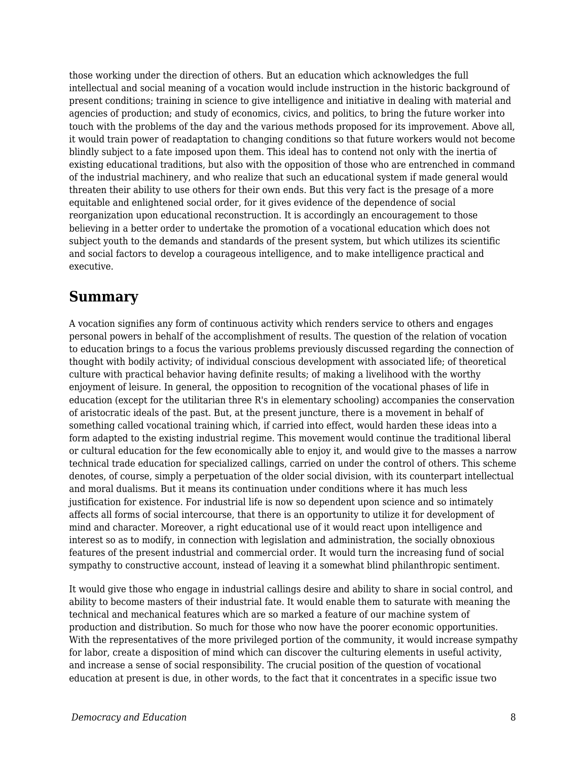those working under the direction of others. But an education which acknowledges the full intellectual and social meaning of a vocation would include instruction in the historic background of present conditions; training in science to give intelligence and initiative in dealing with material and agencies of production; and study of economics, civics, and politics, to bring the future worker into touch with the problems of the day and the various methods proposed for its improvement. Above all, it would train power of readaptation to changing conditions so that future workers would not become blindly subject to a fate imposed upon them. This ideal has to contend not only with the inertia of existing educational traditions, but also with the opposition of those who are entrenched in command of the industrial machinery, and who realize that such an educational system if made general would threaten their ability to use others for their own ends. But this very fact is the presage of a more equitable and enlightened social order, for it gives evidence of the dependence of social reorganization upon educational reconstruction. It is accordingly an encouragement to those believing in a better order to undertake the promotion of a vocational education which does not subject youth to the demands and standards of the present system, but which utilizes its scientific and social factors to develop a courageous intelligence, and to make intelligence practical and executive.

### **Summary**

A vocation signifies any form of continuous activity which renders service to others and engages personal powers in behalf of the accomplishment of results. The question of the relation of vocation to education brings to a focus the various problems previously discussed regarding the connection of thought with bodily activity; of individual conscious development with associated life; of theoretical culture with practical behavior having definite results; of making a livelihood with the worthy enjoyment of leisure. In general, the opposition to recognition of the vocational phases of life in education (except for the utilitarian three R's in elementary schooling) accompanies the conservation of aristocratic ideals of the past. But, at the present juncture, there is a movement in behalf of something called vocational training which, if carried into effect, would harden these ideas into a form adapted to the existing industrial regime. This movement would continue the traditional liberal or cultural education for the few economically able to enjoy it, and would give to the masses a narrow technical trade education for specialized callings, carried on under the control of others. This scheme denotes, of course, simply a perpetuation of the older social division, with its counterpart intellectual and moral dualisms. But it means its continuation under conditions where it has much less justification for existence. For industrial life is now so dependent upon science and so intimately affects all forms of social intercourse, that there is an opportunity to utilize it for development of mind and character. Moreover, a right educational use of it would react upon intelligence and interest so as to modify, in connection with legislation and administration, the socially obnoxious features of the present industrial and commercial order. It would turn the increasing fund of social sympathy to constructive account, instead of leaving it a somewhat blind philanthropic sentiment.

It would give those who engage in industrial callings desire and ability to share in social control, and ability to become masters of their industrial fate. It would enable them to saturate with meaning the technical and mechanical features which are so marked a feature of our machine system of production and distribution. So much for those who now have the poorer economic opportunities. With the representatives of the more privileged portion of the community, it would increase sympathy for labor, create a disposition of mind which can discover the culturing elements in useful activity, and increase a sense of social responsibility. The crucial position of the question of vocational education at present is due, in other words, to the fact that it concentrates in a specific issue two